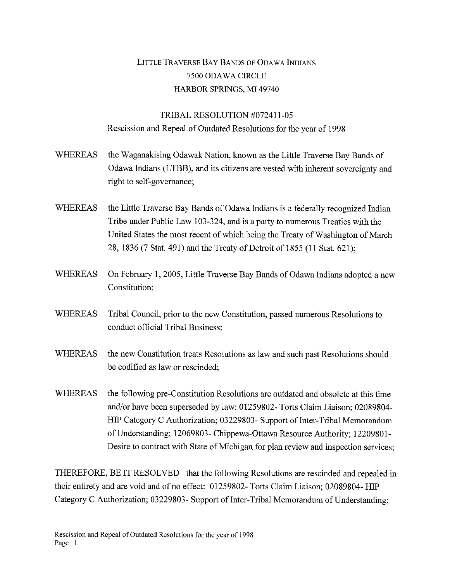## LITTLE TRAVERSE BAY BANDS OF ODAWA INDIANS 7500 ODAWA CIRCLE HARBOR SPRINGS, MI 49740

## TRIBAL RESOLUTION #072411-05 Rescission and Repeal of Outdated Resolutions for the year of 1998

- WHEREAS the Waganakising Odawak Nation, known as the Little Traverse Bay Bands of Odawa Indians (LTBB), and its citizens are vested with inherent sovereignty and right to self-governance;
- WHEREAS the Little Traverse Bay Bands of Odawa Indians is a federally recognized Indian Tribe under Public Law 103-324, and is a party to numerous Treaties with the United States the most recent of which being the Treaty of Washington of March 28, 1836 (7 Stat. 491) and the Treaty of Detroit of 1855 (11 Stat. 621);
- WHEREAS On February 1, 2005, Little Traverse Bay Bands of Odawa Indians adopted a new Constitution;
- WHEREAS Tribal Council, prior to the new Constitution, passed numerous Resolutions to conduct official Tribal Business;
- WHEREAS the new Constitution treats Resolutions as law and such past Resolutions should be codified as law or rescinded;
- WHEREAS the following pre-Constitution Resolutions are outdated and obsolete at this time and/or have been superseded by law: 01259802- Torts Claim Liaison; 02089804- HIP Category C Authorization; 03229803- Support of Inter-Tribal Memorandum of Understanding; 12069803- Chippewa-Ottawa Resource Authority; 12209801 - Desire to contract with State of Michigan for plan review and inspection services;

THEREFORE, BE IT RESOLVED that the following Resolutions are rescinded and repealed in their entirety and are void and of no effect: 01259802- Torts Claim Liaison; 02089804- HIP Category C Authorization; 03229803- Support of Inter-Tribal Memorandum of Understanding;